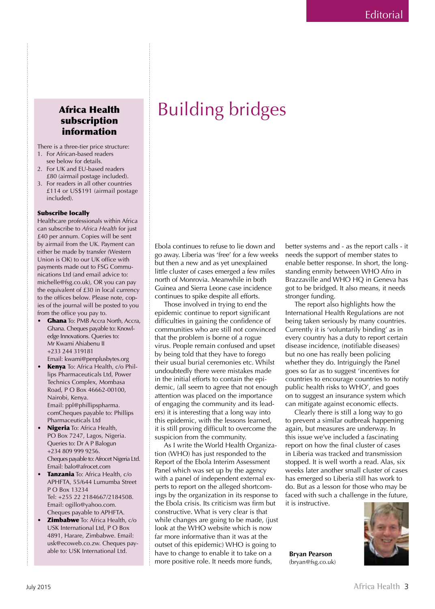## Africa Health subscription information

There is a three-tier price structure: 1. For African-based readers

- see below for details.
- 2. For UK and EU-based readers £80 (airmail postage included).
- 3. For readers in all other countries £114 or US\$191 (airmail postage included).

## Subscribe locally

Healthcare professionals within Africa can subscribe to *Africa Health* for just £40 per annum. Copies will be sent by airmail from the UK. Payment can either be made by transfer (Western Union is OK) to our UK office with payments made out to FSG Communications Ltd (and email advice to: michelle@fsg.co.uk), OR you can pay the equivalent of £30 in local currency to the offices below. Please note, copies of the journal will be posted to you from the office you pay to.

- Ghana To: PMB Accra North, Accra, Ghana. Cheques payable to: Knowledge Innovations. Queries to: Mr Kwami Ahiabenu II +233 244 319181 Email: kwami@penplusbytes.org
- Kenya To: Africa Health, c/o Phillips Pharmaceuticals Ltd, Power Technics Complex, Mombasa Road, P O Box 46662-00100, Nairobi, Kenya. Email: ppl@phillipspharma. comCheques payable to: Phillips Pharmaceuticals Ltd
- Nigeria To: Africa Health, PO Box 7247, Lagos, Nigeria. Queries to: Dr A P Balogun +234 809 999 9256. Cheques payable to: Afrocet Nigeria Ltd. Email: balo@afrocet.com
- Tanzania To: Africa Health, c/o APHFTA, 55/644 Lumumba Street P O Box 13234 Tel: +255 22 2184667/2184508. Email: ogillo@yahoo.com. Cheques payable to APHFTA.
- **Zimbabwe** To: Africa Health, c/o USK International Ltd, P O Box 4891, Harare, Zimbabwe. Email: usk@ecoweb.co.zw. Cheques payable to: USK International Ltd.

Ebola continues to refuse to lie down and go away. Liberia was 'free' for a few weeks but then a new and as yet unexplained little cluster of cases emerged a few miles north of Monrovia. Meanwhile in both Guinea and Sierra Leone case incidence continues to spike despite all efforts.

Building bridges

Those involved in trying to end the epidemic continue to report significant difficulties in gaining the confidence of communities who are still not convinced that the problem is borne of a rogue virus. People remain confused and upset by being told that they have to forego their usual burial ceremonies etc. Whilst undoubtedly there were mistakes made in the initial efforts to contain the epidemic, (all seem to agree that not enough attention was placed on the importance of engaging the community and its leaders) it is interesting that a long way into this epidemic, with the lessons learned, it is still proving difficult to overcome the suspicion from the community.

As I write the World Health Organization (WHO) has just responded to the Report of the Ebola Interim Assessment Panel which was set up by the agency with a panel of independent external experts to report on the alleged shortcomings by the organization in its response to the Ebola crisis. Its criticism was firm but constructive. What is very clear is that while changes are going to be made, (just look at the WHO website which is now far more informative than it was at the outset of this epidemic) WHO is going to have to change to enable it to take on a more positive role. It needs more funds,

better systems and - as the report calls - it needs the support of member states to enable better response. In short, the longstanding enmity between WHO Afro in Brazzaville and WHO HQ in Geneva has got to be bridged. It also means, it needs stronger funding.

The report also highlights how the International Health Regulations are not being taken seriously by many countries. Currently it is 'voluntarily binding' as in every country has a duty to report certain disease incidence, (notifiable diseases) but no one has really been policing whether they do. Intriguingly the Panel goes so far as to suggest 'incentives for countries to encourage countries to notify public health risks to WHO', and goes on to suggest an insurance system which can mitigate against economic effects.

Clearly there is still a long way to go to prevent a similar outbreak happening again, but measures are underway. In this issue we've included a fascinating report on how the final cluster of cases in Liberia was tracked and transmission stopped. It is well worth a read. Alas, six weeks later another small cluster of cases has emerged so Liberia still has work to do. But as a lesson for those who may be faced with such a challenge in the future, it is instructive.

**Bryan Pearson** (bryan@fsg.co.uk)